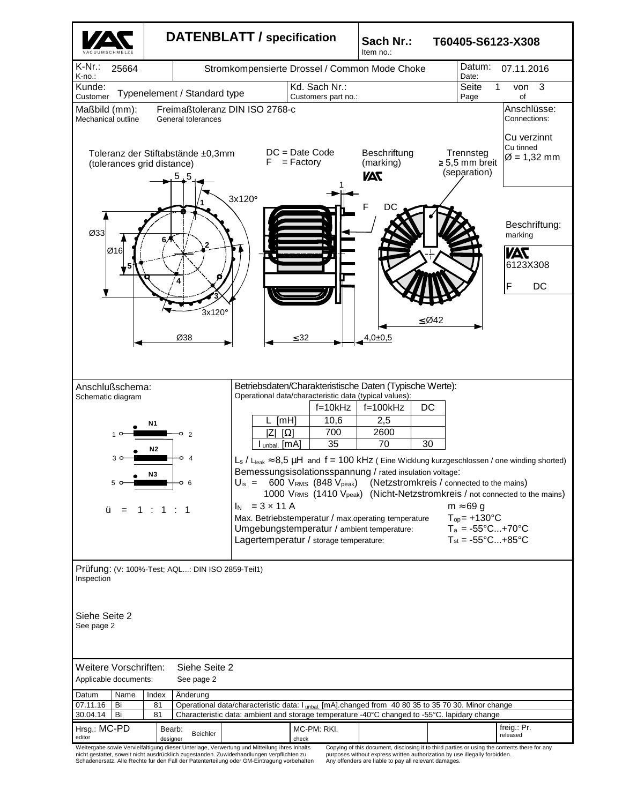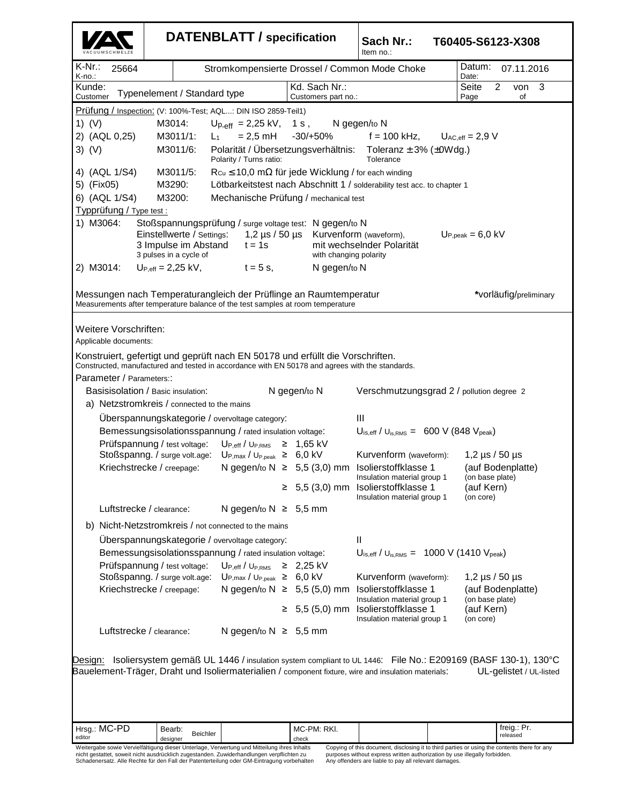| $K-Nr$ .:<br>Datum:<br>25664<br>Stromkompensierte Drossel / Common Mode Choke<br>07.11.2016<br>K-no.:<br>Date:<br>Kd. Sach Nr.:<br>Seite<br>$\overline{2}$<br>$\sqrt{3}$<br>Kunde:<br>von<br>Typenelement / Standard type<br>Customer<br>Customers part no.:<br>Page<br>οf                                                                                                                                                                                                                                                                                                                                                                                                                                                                                                                                                                                                                                                                                                                                                                                                                                                                         |  |
|----------------------------------------------------------------------------------------------------------------------------------------------------------------------------------------------------------------------------------------------------------------------------------------------------------------------------------------------------------------------------------------------------------------------------------------------------------------------------------------------------------------------------------------------------------------------------------------------------------------------------------------------------------------------------------------------------------------------------------------------------------------------------------------------------------------------------------------------------------------------------------------------------------------------------------------------------------------------------------------------------------------------------------------------------------------------------------------------------------------------------------------------------|--|
|                                                                                                                                                                                                                                                                                                                                                                                                                                                                                                                                                                                                                                                                                                                                                                                                                                                                                                                                                                                                                                                                                                                                                    |  |
|                                                                                                                                                                                                                                                                                                                                                                                                                                                                                                                                                                                                                                                                                                                                                                                                                                                                                                                                                                                                                                                                                                                                                    |  |
| Prüfung / Inspection: (V: 100%-Test; AQL: DIN ISO 2859-Teil1)<br>1) $(V)$<br>M3014:<br>$U_{p,eff} = 2,25$ kV, 1 s, N gegen/to N<br>2) (AQL 0,25)<br>$= 2.5$ mH $-30/+50%$<br>M3011/1:<br>$f = 100$ kHz, $U_{AC,eff} = 2.9$ V<br>$L_1$<br>Polarität / Übersetzungsverhältnis: Toleranz $\pm$ 3% ( $\pm$ 0Wdg.)<br>$3)$ (V)<br>M3011/6:<br>Polarity / Turns ratio:<br>Tolerance<br>4) (AQL 1/S4)<br>M3011/5:<br>$R_{Cu} \le 10,0$ m $\Omega$ für jede Wicklung / for each winding<br>5) (Fix05)<br>M3290:<br>Lötbarkeitstest nach Abschnitt 1 / solderability test acc. to chapter 1<br>6) (AQL 1/S4)<br>M3200:<br>Mechanische Prüfung / mechanical test<br>Typprüfung / Type test :<br>1) M3064:<br>Stoßspannungsprüfung / surge voltage test: N gegen/to N<br>Einstellwerte / Settings:<br>1,2 µs / 50 µs Kurvenform (waveform),<br>$U_{P,peak} = 6.0$ kV<br>3 Impulse im Abstand<br>mit wechselnder Polarität<br>$t = 1s$<br>3 pulses in a cycle of<br>with changing polarity<br>2) M3014:<br>$U_{P,eff} = 2,25$ kV,<br>N gegen/to N<br>$t = 5$ s,<br>Messungen nach Temperaturangleich der Prüflinge an Raumtemperatur<br>*vorläufig/preliminary |  |
| Measurements after temperature balance of the test samples at room temperature<br>Weitere Vorschriften:<br>Applicable documents:<br>Konstruiert, gefertigt und geprüft nach EN 50178 und erfüllt die Vorschriften.<br>Constructed, manufactured and tested in accordance with EN 50178 and agrees with the standards.<br>Parameter / Parameters::<br>Basisisolation / Basic insulation:<br>N gegen/to N<br>Verschmutzungsgrad 2 / pollution degree 2                                                                                                                                                                                                                                                                                                                                                                                                                                                                                                                                                                                                                                                                                               |  |
| a) Netzstromkreis / connected to the mains                                                                                                                                                                                                                                                                                                                                                                                                                                                                                                                                                                                                                                                                                                                                                                                                                                                                                                                                                                                                                                                                                                         |  |
| Ш<br>Uberspannungskategorie / overvoltage category:                                                                                                                                                                                                                                                                                                                                                                                                                                                                                                                                                                                                                                                                                                                                                                                                                                                                                                                                                                                                                                                                                                |  |
| Bemessungsisolationsspannung / rated insulation voltage:<br>$U_{\text{is,eff}}$ / $U_{\text{is,RMS}} = 600 \text{ V}$ (848 $V_{\text{peak}}$ )<br>Prüfspannung / test voltage:<br>$Up_{eff}/U_{P,RMS} \geq 1,65$ kV                                                                                                                                                                                                                                                                                                                                                                                                                                                                                                                                                                                                                                                                                                                                                                                                                                                                                                                                |  |
| Stoßspanng. / surge volt.age: $Up_{,max} / U_{P,peak} \ge 6.0$ kV<br>Kurvenform (waveform):<br>1,2 $\mu$ s / 50 $\mu$ s                                                                                                                                                                                                                                                                                                                                                                                                                                                                                                                                                                                                                                                                                                                                                                                                                                                                                                                                                                                                                            |  |
| Kriechstrecke / creepage:<br>N gegen/to N ≥ 5,5 (3,0) mm<br>Isolierstoffklasse 1<br>(auf Bodenplatte)<br>Insulation material group 1 (on base plate)<br>$\geq 5,5(3,0)$ mm<br>Isolierstoffklasse 1<br>(auf Kern)<br>Insulation material group 1<br>(on core)                                                                                                                                                                                                                                                                                                                                                                                                                                                                                                                                                                                                                                                                                                                                                                                                                                                                                       |  |
| Luftstrecke / clearance:<br>N gegen/to $N \geq 5.5$ mm                                                                                                                                                                                                                                                                                                                                                                                                                                                                                                                                                                                                                                                                                                                                                                                                                                                                                                                                                                                                                                                                                             |  |
| b) Nicht-Netzstromkreis / not connected to the mains                                                                                                                                                                                                                                                                                                                                                                                                                                                                                                                                                                                                                                                                                                                                                                                                                                                                                                                                                                                                                                                                                               |  |
| Überspannungskategorie / overvoltage category:<br>Ш<br>$U_{\text{is,eff}}$ / $U_{\text{is,RMS}} = 1000 \text{ V}$ (1410 $V_{\text{peak}}$ )<br>Bemessungsisolationsspannung / rated insulation voltage:<br>Prüfspannung / test voltage:<br>$U_{P,eff}/U_{P,RMS} \geq 2,25$ kV<br>Stoßspanng. / surge volt.age: UP, max / U <sub>P, peak</sub> ≥ 6,0 kV<br>Kurvenform (waveform):<br>1,2 $\mu$ s / 50 $\mu$ s<br>Kriechstrecke / creepage:<br>N gegen/to $N \geq 5,5$ (5,0) mm<br>Isolierstoffklasse 1<br>(auf Bodenplatte)<br>Insulation material group 1<br>(on base plate)<br>$\geq 5,5(5,0)$ mm<br>Isolierstoffklasse 1<br>(auf Kern)<br>Insulation material group 1<br>(on core)                                                                                                                                                                                                                                                                                                                                                                                                                                                               |  |
| Luftstrecke / clearance:<br>N gegen/to $N \geq 5,5$ mm                                                                                                                                                                                                                                                                                                                                                                                                                                                                                                                                                                                                                                                                                                                                                                                                                                                                                                                                                                                                                                                                                             |  |
| Isoliersystem gemäß UL 1446 / insulation system compliant to UL 1446: File No.: E209169 (BASF 130-1), 130°C<br>Design:<br>Bauelement-Träger, Draht und Isoliermaterialien / component fixture, wire and insulation materials:<br>UL-gelistet / UL-listed                                                                                                                                                                                                                                                                                                                                                                                                                                                                                                                                                                                                                                                                                                                                                                                                                                                                                           |  |
| freig.: Pr.<br>Hrsg.: MC-PD<br>MC-PM: RKI.<br>Bearb:<br><b>Beichler</b><br>released                                                                                                                                                                                                                                                                                                                                                                                                                                                                                                                                                                                                                                                                                                                                                                                                                                                                                                                                                                                                                                                                |  |
| editor<br>designer<br>check<br>Weitergabe sowie Vervielfältigung dieser Unterlage, Verwertung und Mitteilung ihres Inhalts<br>Copying of this document, disclosing it to third parties or using the contents there for any<br>nicht gestattet, soweit nicht ausdrücklich zugestanden. Zuwiderhandlungen verpflichten zu<br>purposes without express written authorization by use illegally forbidden.                                                                                                                                                                                                                                                                                                                                                                                                                                                                                                                                                                                                                                                                                                                                              |  |